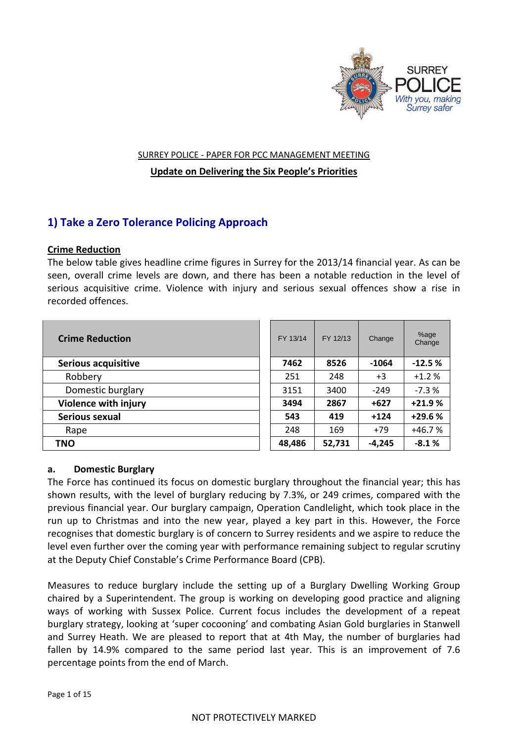

#### SURREY POLICE - PAPER FOR PCC MANAGEMENT MEETING

**Update on Delivering the Six People's Priorities**

# **1) Take a Zero Tolerance Policing Approach**

## **Crime Reduction**

The below table gives headline crime figures in Surrey for the 2013/14 financial year. As can be seen, overall crime levels are down, and there has been a notable reduction in the level of serious acquisitive crime. Violence with injury and serious sexual offences show a rise in recorded offences.

| <b>Crime Reduction</b>      | FY 13/14 | FY 12/13 | Change   | %age<br>Change |
|-----------------------------|----------|----------|----------|----------------|
| <b>Serious acquisitive</b>  | 7462     | 8526     | $-1064$  | $-12.5%$       |
| Robbery                     | 251      | 248      | $+3$     | $+1.2%$        |
| Domestic burglary           | 3151     | 3400     | $-249$   | $-7.3%$        |
| <b>Violence with injury</b> | 3494     | 2867     | $+627$   | $+21.9%$       |
| Serious sexual              | 543      | 419      | $+124$   | +29.6 %        |
| Rape                        | 248      | 169      | $+79$    | $+46.7%$       |
| <b>TNO</b>                  | 48,486   | 52,731   | $-4,245$ | $-8.1%$        |

| FY 13/14 | FY 12/13 | Change  | %age<br>Change |
|----------|----------|---------|----------------|
| 7462     | 8526     | $-1064$ | $-12.5%$       |
| 251      | 248      | $+3$    | $+1.2%$        |
| 3151     | 3400     | $-249$  | $-7.3%$        |
| 3494     | 2867     | +627    | $+21.9%$       |
| 543      | 419      | +124    | +29.6 %        |
| 248      | 169      | $+79$   | $+46.7%$       |
| 48,486   | 52,731   | -4.245  | $-8.1%$        |

## **a. Domestic Burglary**

The Force has continued its focus on domestic burglary throughout the financial year; this has shown results, with the level of burglary reducing by 7.3%, or 249 crimes, compared with the previous financial year. Our burglary campaign, Operation Candlelight, which took place in the run up to Christmas and into the new year, played a key part in this. However, the Force recognises that domestic burglary is of concern to Surrey residents and we aspire to reduce the level even further over the coming year with performance remaining subject to regular scrutiny at the Deputy Chief Constable's Crime Performance Board (CPB).

Measures to reduce burglary include the setting up of a Burglary Dwelling Working Group chaired by a Superintendent. The group is working on developing good practice and aligning ways of working with Sussex Police. Current focus includes the development of a repeat burglary strategy, looking at 'super cocooning' and combating Asian Gold burglaries in Stanwell and Surrey Heath. We are pleased to report that at 4th May, the number of burglaries had fallen by 14.9% compared to the same period last year. This is an improvement of 7.6 percentage points from the end of March.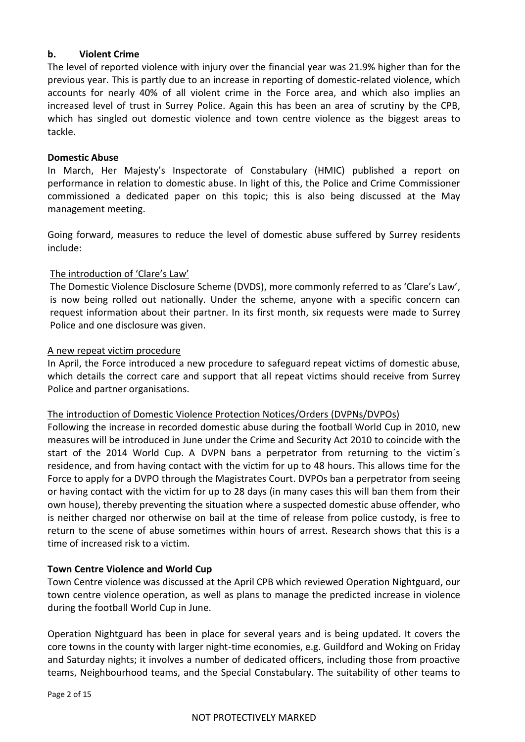## **b. Violent Crime**

The level of reported violence with injury over the financial year was 21.9% higher than for the previous year. This is partly due to an increase in reporting of domestic-related violence, which accounts for nearly 40% of all violent crime in the Force area, and which also implies an increased level of trust in Surrey Police. Again this has been an area of scrutiny by the CPB, which has singled out domestic violence and town centre violence as the biggest areas to tackle.

#### **Domestic Abuse**

In March, Her Majesty's Inspectorate of Constabulary (HMIC) published a report on performance in relation to domestic abuse. In light of this, the Police and Crime Commissioner commissioned a dedicated paper on this topic; this is also being discussed at the May management meeting.

Going forward, measures to reduce the level of domestic abuse suffered by Surrey residents include:

## The introduction of 'Clare's Law'

The Domestic Violence Disclosure Scheme (DVDS), more commonly referred to as 'Clare's Law', is now being rolled out nationally. Under the scheme, anyone with a specific concern can request information about their partner. In its first month, six requests were made to Surrey Police and one disclosure was given.

#### A new repeat victim procedure

In April, the Force introduced a new procedure to safeguard repeat victims of domestic abuse, which details the correct care and support that all repeat victims should receive from Surrey Police and partner organisations.

#### The introduction of Domestic Violence Protection Notices/Orders (DVPNs/DVPOs)

Following the increase in recorded domestic abuse during the football World Cup in 2010, new measures will be introduced in June under the Crime and Security Act 2010 to coincide with the start of the 2014 World Cup. A DVPN bans a perpetrator from returning to the victim´s residence, and from having contact with the victim for up to 48 hours. This allows time for the Force to apply for a DVPO through the Magistrates Court. DVPOs ban a perpetrator from seeing or having contact with the victim for up to 28 days (in many cases this will ban them from their own house), thereby preventing the situation where a suspected domestic abuse offender, who is neither charged nor otherwise on bail at the time of release from police custody, is free to return to the scene of abuse sometimes within hours of arrest. Research shows that this is a time of increased risk to a victim.

## **Town Centre Violence and World Cup**

Town Centre violence was discussed at the April CPB which reviewed Operation Nightguard, our town centre violence operation, as well as plans to manage the predicted increase in violence during the football World Cup in June.

Operation Nightguard has been in place for several years and is being updated. It covers the core towns in the county with larger night-time economies, e.g. Guildford and Woking on Friday and Saturday nights; it involves a number of dedicated officers, including those from proactive teams, Neighbourhood teams, and the Special Constabulary. The suitability of other teams to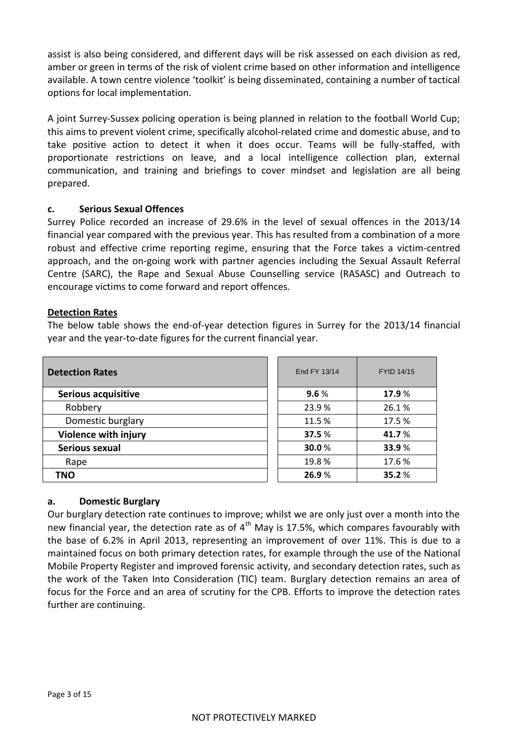assist is also being considered, and different days will be risk assessed on each division as red, amber or green in terms of the risk of violent crime based on other information and intelligence available. A town centre violence 'toolkit' is being disseminated, containing a number of tactical options for local implementation.

A joint Surrey-Sussex policing operation is being planned in relation to the football World Cup; this aims to prevent violent crime, specifically alcohol-related crime and domestic abuse, and to take positive action to detect it when it does occur. Teams will be fully-staffed, with proportionate restrictions on leave, and a local intelligence collection plan, external communication, and training and briefings to cover mindset and legislation are all being prepared.

## **c. Serious Sexual Offences**

Surrey Police recorded an increase of 29.6% in the level of sexual offences in the 2013/14 financial year compared with the previous year. This has resulted from a combination of a more robust and effective crime reporting regime, ensuring that the Force takes a victim-centred approach, and the on-going work with partner agencies including the Sexual Assault Referral Centre (SARC), the Rape and Sexual Abuse Counselling service (RASASC) and Outreach to encourage victims to come forward and report offences.

## **Detection Rates**

The below table shows the end-of-year detection figures in Surrey for the 2013/14 financial year and the year-to-date figures for the current financial year.

| <b>Detection Rates</b>      | End FY 13/14 | FYtD 14/15 |
|-----------------------------|--------------|------------|
| Serious acquisitive         | 9.6%         | 17.9 %     |
| Robbery                     | 23.9%        | 26.1%      |
| Domestic burglary           | 11.5 %       | 17.5 %     |
| <b>Violence with injury</b> | 37.5 %       | 41.7%      |
| Serious sexual              | 30.0%        | 33.9%      |
| Rape                        | 19.8%        | 17.6 %     |
| <b>TNO</b>                  | 26.9%        | 35.2%      |

| End FY 13/14 | FYtD 14/15 |
|--------------|------------|
| 9.6%         | 17.9%      |
| 23.9%        | 26.1%      |
| 11.5 %       | 17.5 %     |
| 37.5 %       | 41.7 %     |
| 30.0%        | 33.9%      |
| 19.8%        | 17.6 %     |
| 26.9%        | 35.2%      |

## **a. Domestic Burglary**

Our burglary detection rate continues to improve; whilst we are only just over a month into the new financial year, the detection rate as of  $4<sup>th</sup>$  May is 17.5%, which compares favourably with the base of 6.2% in April 2013, representing an improvement of over 11%. This is due to a maintained focus on both primary detection rates, for example through the use of the National Mobile Property Register and improved forensic activity, and secondary detection rates, such as the work of the Taken Into Consideration (TIC) team. Burglary detection remains an area of focus for the Force and an area of scrutiny for the CPB. Efforts to improve the detection rates further are continuing.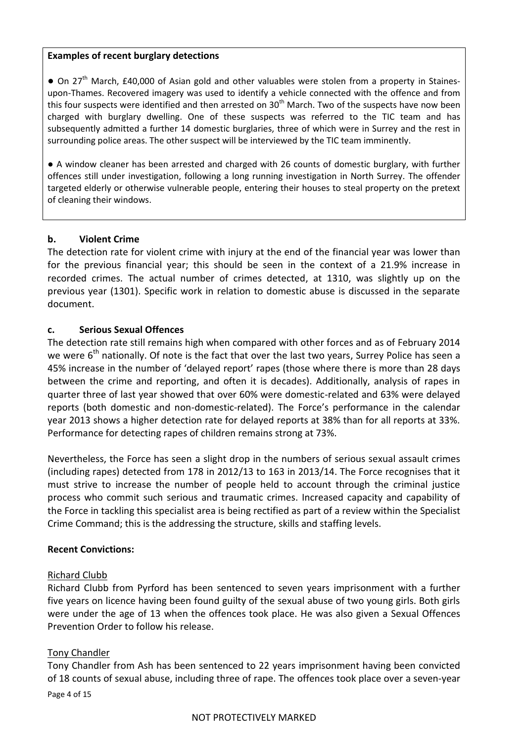## **Examples of recent burglary detections**

● On 27<sup>th</sup> March, £40,000 of Asian gold and other valuables were stolen from a property in Stainesupon-Thames. Recovered imagery was used to identify a vehicle connected with the offence and from this four suspects were identified and then arrested on  $30<sup>th</sup>$  March. Two of the suspects have now been charged with burglary dwelling. One of these suspects was referred to the TIC team and has subsequently admitted a further 14 domestic burglaries, three of which were in Surrey and the rest in surrounding police areas. The other suspect will be interviewed by the TIC team imminently.

● A window cleaner has been arrested and charged with 26 counts of domestic burglary, with further offences still under investigation, following a long running investigation in North Surrey. The offender targeted elderly or otherwise vulnerable people, entering their houses to steal property on the pretext of cleaning their windows.

## **b. Violent Crime**

The detection rate for violent crime with injury at the end of the financial year was lower than for the previous financial year; this should be seen in the context of a 21.9% increase in recorded crimes. The actual number of crimes detected, at 1310, was slightly up on the previous year (1301). Specific work in relation to domestic abuse is discussed in the separate document.

#### **c. Serious Sexual Offences**

The detection rate still remains high when compared with other forces and as of February 2014 we were  $6<sup>th</sup>$  nationally. Of note is the fact that over the last two years, Surrey Police has seen a 45% increase in the number of 'delayed report' rapes (those where there is more than 28 days between the crime and reporting, and often it is decades). Additionally, analysis of rapes in quarter three of last year showed that over 60% were domestic-related and 63% were delayed reports (both domestic and non-domestic-related). The Force's performance in the calendar year 2013 shows a higher detection rate for delayed reports at 38% than for all reports at 33%. Performance for detecting rapes of children remains strong at 73%.

Nevertheless, the Force has seen a slight drop in the numbers of serious sexual assault crimes (including rapes) detected from 178 in 2012/13 to 163 in 2013/14. The Force recognises that it must strive to increase the number of people held to account through the criminal justice process who commit such serious and traumatic crimes. Increased capacity and capability of the Force in tackling this specialist area is being rectified as part of a review within the Specialist Crime Command; this is the addressing the structure, skills and staffing levels.

#### **Recent Convictions:**

#### Richard Clubb

Richard Clubb from Pyrford has been sentenced to seven years imprisonment with a further five years on licence having been found guilty of the sexual abuse of two young girls. Both girls were under the age of 13 when the offences took place. He was also given a Sexual Offences Prevention Order to follow his release.

## Tony Chandler

Tony Chandler from Ash has been sentenced to 22 years imprisonment having been convicted of 18 counts of sexual abuse, including three of rape. The offences took place over a seven-year

Page 4 of 15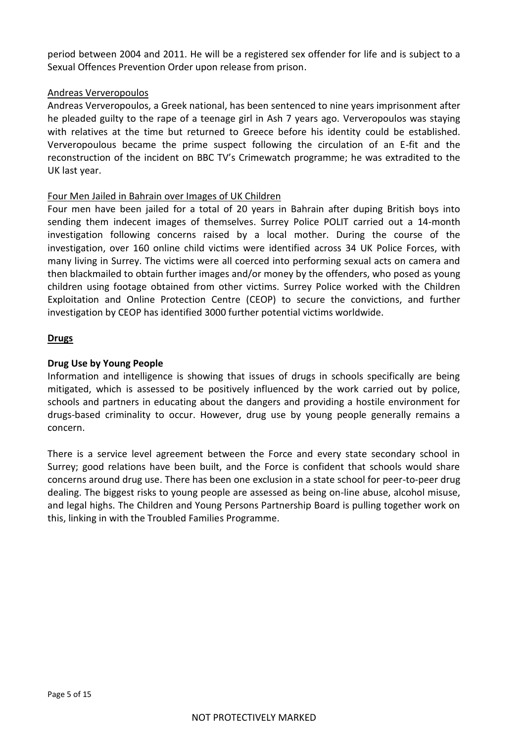period between 2004 and 2011. He will be a registered sex offender for life and is subject to a Sexual Offences Prevention Order upon release from prison.

## Andreas Ververopoulos

Andreas Ververopoulos, a Greek national, has been sentenced to nine years imprisonment after he pleaded guilty to the rape of a teenage girl in Ash 7 years ago. Ververopoulos was staying with relatives at the time but returned to Greece before his identity could be established. Ververopoulous became the prime suspect following the circulation of an E-fit and the reconstruction of the incident on BBC TV's Crimewatch programme; he was extradited to the UK last year.

#### Four Men Jailed in Bahrain over Images of UK Children

Four men have been jailed for a total of 20 years in Bahrain after duping British boys into sending them indecent images of themselves. Surrey Police POLIT carried out a 14-month investigation following concerns raised by a local mother. During the course of the investigation, over 160 online child victims were identified across 34 UK Police Forces, with many living in Surrey. The victims were all coerced into performing sexual acts on camera and then blackmailed to obtain further images and/or money by the offenders, who posed as young children using footage obtained from other victims. Surrey Police worked with the Children Exploitation and Online Protection Centre (CEOP) to secure the convictions, and further investigation by CEOP has identified 3000 further potential victims worldwide.

#### **Drugs**

## **Drug Use by Young People**

Information and intelligence is showing that issues of drugs in schools specifically are being mitigated, which is assessed to be positively influenced by the work carried out by police, schools and partners in educating about the dangers and providing a hostile environment for drugs-based criminality to occur. However, drug use by young people generally remains a concern.

There is a service level agreement between the Force and every state secondary school in Surrey; good relations have been built, and the Force is confident that schools would share concerns around drug use. There has been one exclusion in a state school for peer-to-peer drug dealing. The biggest risks to young people are assessed as being on-line abuse, alcohol misuse, and legal highs. The Children and Young Persons Partnership Board is pulling together work on this, linking in with the Troubled Families Programme.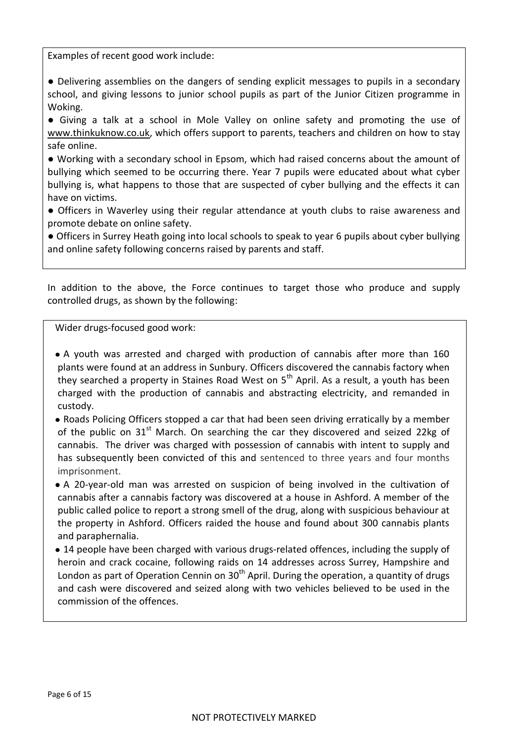Examples of recent good work include:

● Delivering assemblies on the dangers of sending explicit messages to pupils in a secondary school, and giving lessons to junior school pupils as part of the Junior Citizen programme in Woking.

● Giving a talk at a school in Mole Valley on online safety and promoting the use of [www.thinkuknow.co.uk,](http://www.thinkuknow.co.uk/) which offers support to parents, teachers and children on how to stay safe online.

● Working with a secondary school in Epsom, which had raised concerns about the amount of bullying which seemed to be occurring there. Year 7 pupils were educated about what cyber bullying is, what happens to those that are suspected of cyber bullying and the effects it can have on victims.

● Officers in Waverley using their regular attendance at youth clubs to raise awareness and promote debate on online safety.

● Officers in Surrey Heath going into local schools to speak to year 6 pupils about cyber bullying and online safety following concerns raised by parents and staff.

In addition to the above, the Force continues to target those who produce and supply controlled drugs, as shown by the following:

Wider drugs-focused good work:

A youth was arrested and charged with production of cannabis after more than 160 plants were found at an address in Sunbury. Officers discovered the cannabis factory when they searched a property in Staines Road West on  $5<sup>th</sup>$  April. As a result, a youth has been charged with the production of cannabis and abstracting electricity, and remanded in custody.

Roads Policing Officers stopped a car that had been seen driving erratically by a member of the public on  $31<sup>st</sup>$  March. On searching the car they discovered and seized 22kg of cannabis. The driver was charged with possession of cannabis with intent to supply and has subsequently been convicted of this and sentenced to three years and four months imprisonment.

A 20-year-old man was arrested on suspicion of being involved in the cultivation of cannabis after a cannabis factory was discovered at a house in Ashford. A member of the public called police to report a strong smell of the drug, along with suspicious behaviour at the property in Ashford. Officers raided the house and found about 300 cannabis plants and paraphernalia.

14 people have been charged with various drugs-related offences, including the supply of heroin and crack cocaine, following raids on 14 addresses across Surrey, Hampshire and London as part of Operation Cennin on  $30<sup>th</sup>$  April. During the operation, a quantity of drugs and cash were discovered and seized along with two vehicles believed to be used in the commission of the offences.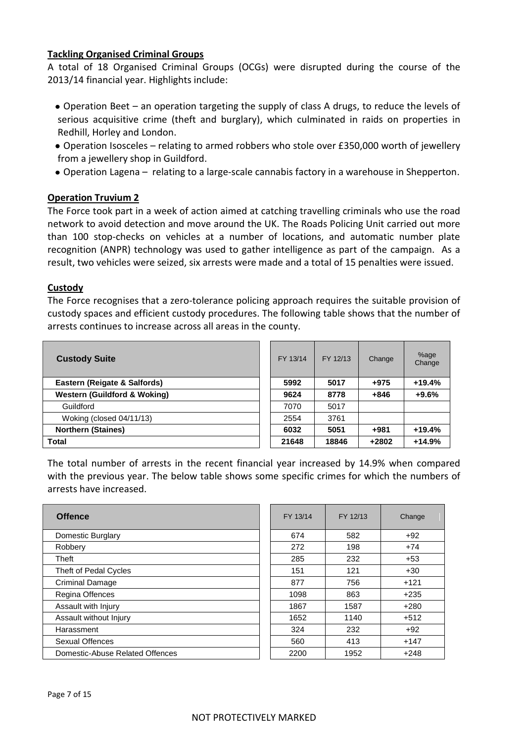#### **Tackling Organised Criminal Groups**

A total of 18 Organised Criminal Groups (OCGs) were disrupted during the course of the 2013/14 financial year. Highlights include:

- Operation Beet an operation targeting the supply of class A drugs, to reduce the levels of serious acquisitive crime (theft and burglary), which culminated in raids on properties in Redhill, Horley and London.
- Operation Isosceles relating to armed robbers who stole over £350,000 worth of jewellery from a jewellery shop in Guildford.
- Operation Lagena relating to a large-scale cannabis factory in a warehouse in Shepperton.

## **Operation Truvium 2**

The Force took part in a week of action aimed at catching travelling criminals who use the road network to avoid detection and move around the UK. The Roads Policing Unit carried out more than 100 stop-checks on vehicles at a number of locations, and automatic number plate recognition (ANPR) technology was used to gather intelligence as part of the campaign. As a result, two vehicles were seized, six arrests were made and a total of 15 penalties were issued.

## **Custody**

The Force recognises that a zero-tolerance policing approach requires the suitable provision of custody spaces and efficient custody procedures. The following table shows that the number of arrests continues to increase across all areas in the county.

| <b>Custody Suite</b>                    | FY 13/14 | FY 12/13 | Change  | %age<br>Change |
|-----------------------------------------|----------|----------|---------|----------------|
| Eastern (Reigate & Salfords)            | 5992     | 5017     | $+975$  | $+19.4%$       |
| <b>Western (Guildford &amp; Woking)</b> | 9624     | 8778     | $+846$  | $+9.6%$        |
| Guildford                               | 7070     | 5017     |         |                |
| Woking (closed 04/11/13)                | 2554     | 3761     |         |                |
| <b>Northern (Staines)</b>               | 6032     | 5051     | $+981$  | $+19.4%$       |
| Total                                   | 21648    | 18846    | $+2802$ | $+14.9%$       |

The total number of arrests in the recent financial year increased by 14.9% when compared with the previous year. The below table shows some specific crimes for which the numbers of arrests have increased.

| <b>Offence</b>                  | FY 13/14 | FY 12/13 | Change |
|---------------------------------|----------|----------|--------|
| Domestic Burglary               | 674      | 582      | $+92$  |
| Robbery                         | 272      | 198      | $+74$  |
| Theft                           | 285      | 232      | $+53$  |
| Theft of Pedal Cycles           | 151      | 121      | $+30$  |
| <b>Criminal Damage</b>          | 877      | 756      | $+121$ |
| Regina Offences                 | 1098     | 863      | $+235$ |
| Assault with Injury             | 1867     | 1587     | $+280$ |
| Assault without Injury          | 1652     | 1140     | $+512$ |
| Harassment                      | 324      | 232      | $+92$  |
| Sexual Offences                 | 560      | 413      | $+147$ |
| Domestic-Abuse Related Offences | 2200     | 1952     | $+248$ |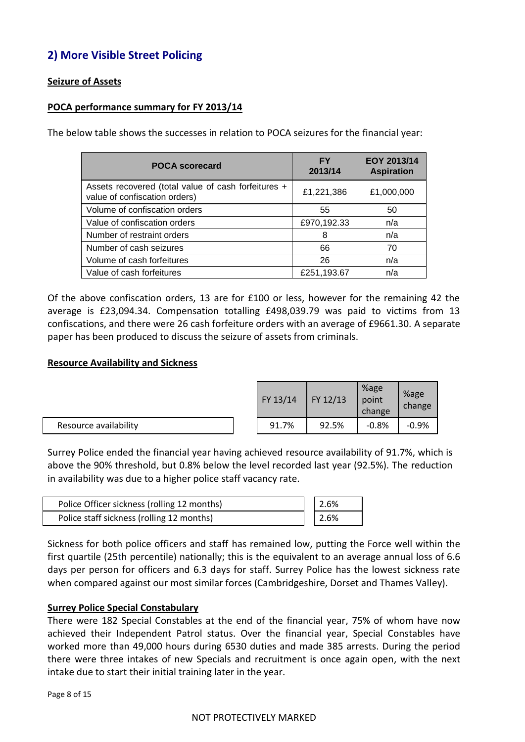# **2) More Visible Street Policing**

## **Seizure of Assets**

## **POCA performance summary for FY 2013/14**

The below table shows the successes in relation to POCA seizures for the financial year:

| <b>POCA scorecard</b>                                                                | FΥ<br>2013/14 | EOY 2013/14<br><b>Aspiration</b> |
|--------------------------------------------------------------------------------------|---------------|----------------------------------|
| Assets recovered (total value of cash forfeitures +<br>value of confiscation orders) | £1,221,386    | £1,000,000                       |
| Volume of confiscation orders                                                        | 55            | 50                               |
| Value of confiscation orders                                                         | £970,192.33   | n/a                              |
| Number of restraint orders                                                           | 8             | n/a                              |
| Number of cash seizures                                                              | 66            | 70                               |
| Volume of cash forfeitures                                                           | 26            | n/a                              |
| Value of cash forfeitures                                                            | £251,193.67   | n/a                              |

Of the above confiscation orders, 13 are for £100 or less, however for the remaining 42 the average is £23,094.34. Compensation totalling £498,039.79 was paid to victims from 13 confiscations, and there were 26 cash forfeiture orders with an average of £9661.30. A separate paper has been produced to discuss the seizure of assets from criminals.

#### **Resource Availability and Sickness**

|                       |  | FY 13/14 | $\mid$ FY 12/13 | %age<br>point<br>change | %age<br>change |
|-----------------------|--|----------|-----------------|-------------------------|----------------|
| Resource availability |  | 91.7%    | 92.5%           | $-0.8%$                 | $-0.9%$        |

Surrey Police ended the financial year having achieved resource availability of 91.7%, which is above the 90% threshold, but 0.8% below the level recorded last year (92.5%). The reduction in availability was due to a higher police staff vacancy rate.

| Police Officer sickness (rolling 12 months) | 2.6%              |
|---------------------------------------------|-------------------|
| Police staff sickness (rolling 12 months)   | $\frac{1}{2.6\%}$ |

Sickness for both police officers and staff has remained low, putting the Force well within the first quartile (25th percentile) nationally; this is the equivalent to an average annual loss of 6.6 days per person for officers and 6.3 days for staff. Surrey Police has the lowest sickness rate when compared against our most similar forces (Cambridgeshire, Dorset and Thames Valley).

## **Surrey Police Special Constabulary**

There were 182 Special Constables at the end of the financial year, 75% of whom have now achieved their Independent Patrol status. Over the financial year, Special Constables have worked more than 49,000 hours during 6530 duties and made 385 arrests. During the period there were three intakes of new Specials and recruitment is once again open, with the next intake due to start their initial training later in the year.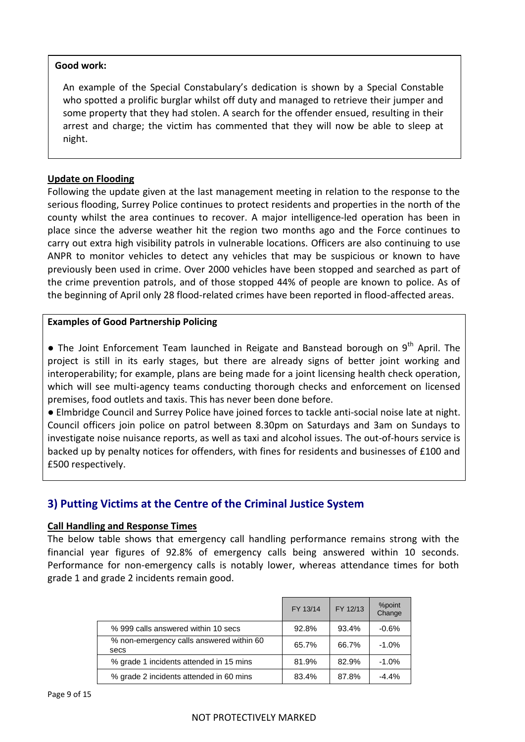## **Good work:**

An example of the Special Constabulary's dedication is shown by a Special Constable who spotted a prolific burglar whilst off duty and managed to retrieve their jumper and some property that they had stolen. A search for the offender ensued, resulting in their arrest and charge; the victim has commented that they will now be able to sleep at night.

## **Update on Flooding**

Following the update given at the last management meeting in relation to the response to the serious flooding, Surrey Police continues to protect residents and properties in the north of the county whilst the area continues to recover. A major intelligence-led operation has been in place since the adverse weather hit the region two months ago and the Force continues to carry out extra high visibility patrols in vulnerable locations. Officers are also continuing to use ANPR to monitor vehicles to detect any vehicles that may be suspicious or known to have previously been used in crime. Over 2000 vehicles have been stopped and searched as part of the crime prevention patrols, and of those stopped 44% of people are known to police. As of the beginning of April only 28 flood-related crimes have been reported in flood-affected areas.

#### **Examples of Good Partnership Policing**

**•** The Joint Enforcement Team launched in Reigate and Banstead borough on 9<sup>th</sup> April. The project is still in its early stages, but there are already signs of better joint working and interoperability; for example, plans are being made for a joint licensing health check operation, which will see multi-agency teams conducting thorough checks and enforcement on licensed premises, food outlets and taxis. This has never been done before.

● [Elmbridge Council](http://www.thisislocallondon.co.uk/search/?search=%22elmbridge+council%22&topic_id=8006) and Surrey Police have joined forces to tackle anti-social noise late at night. Council officers join police on patrol between 8.30pm on Saturdays and 3am on Sundays to investigate noise nuisance reports, as well as taxi and alcohol issues. The out-of-hours service is backed up by penalty notices for offenders, with fines for residents and businesses of £100 and £500 respectively.

## **3) Putting Victims at the Centre of the Criminal Justice System**

## **Call Handling and Response Times**

The below table shows that emergency call handling performance remains strong with the financial year figures of 92.8% of emergency calls being answered within 10 seconds. Performance for non-emergency calls is notably lower, whereas attendance times for both grade 1 and grade 2 incidents remain good.

|                                                  | FY 13/14 | FY 12/13 | %point<br>Change |
|--------------------------------------------------|----------|----------|------------------|
| % 999 calls answered within 10 secs              | 92.8%    | 93.4%    | $-0.6%$          |
| % non-emergency calls answered within 60<br>secs | 65.7%    | 66.7%    | $-1.0%$          |
| % grade 1 incidents attended in 15 mins          | 81.9%    | 82.9%    | $-1.0%$          |
| % grade 2 incidents attended in 60 mins          | 83.4%    | 87.8%    | $-4.4%$          |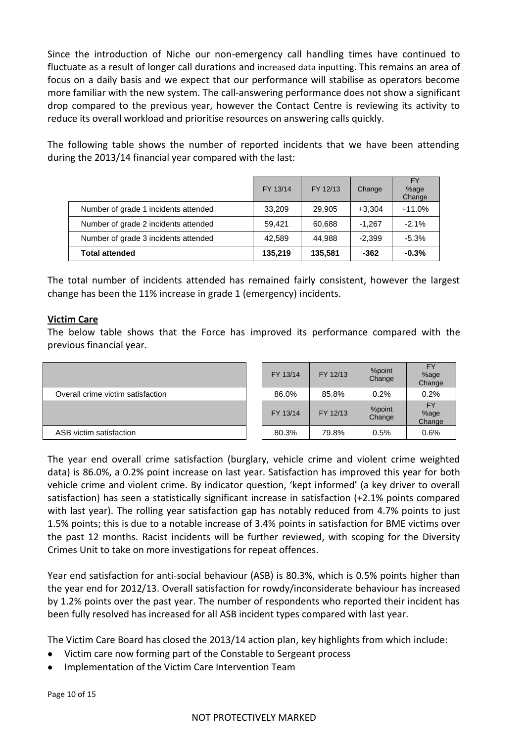Since the introduction of Niche our non-emergency call handling times have continued to fluctuate as a result of longer call durations and increased data inputting. This remains an area of focus on a daily basis and we expect that our performance will stabilise as operators become more familiar with the new system. The call-answering performance does not show a significant drop compared to the previous year, however the Contact Centre is reviewing its activity to reduce its overall workload and prioritise resources on answering calls quickly.

The following table shows the number of reported incidents that we have been attending during the 2013/14 financial year compared with the last:

|                                      | FY 13/14 | FY 12/13 | Change   | <b>FY</b><br>%age<br>Change |
|--------------------------------------|----------|----------|----------|-----------------------------|
| Number of grade 1 incidents attended | 33,209   | 29,905   | $+3.304$ | $+11.0%$                    |
| Number of grade 2 incidents attended | 59,421   | 60,688   | $-1.267$ | $-2.1%$                     |
| Number of grade 3 incidents attended | 42.589   | 44.988   | $-2.399$ | $-5.3%$                     |
| <b>Total attended</b>                | 135,219  | 135.581  | $-362$   | $-0.3%$                     |

The total number of incidents attended has remained fairly consistent, however the largest change has been the 11% increase in grade 1 (emergency) incidents.

## **Victim Care**

The below table shows that the Force has improved its performance compared with the previous financial year.

|                                   | FY 13/14 | FY 12/13 | %point<br>Change | FY<br>%age<br>Change        |
|-----------------------------------|----------|----------|------------------|-----------------------------|
| Overall crime victim satisfaction | 86.0%    | 85.8%    | 0.2%             | 0.2%                        |
|                                   | FY 13/14 | FY 12/13 | %point<br>Change | <b>FY</b><br>%age<br>Change |
| ASB victim satisfaction           | 80.3%    | 79.8%    | 0.5%             | 0.6%                        |

The year end overall crime satisfaction (burglary, vehicle crime and violent crime weighted data) is 86.0%, a 0.2% point increase on last year. Satisfaction has improved this year for both vehicle crime and violent crime. By indicator question, 'kept informed' (a key driver to overall satisfaction) has seen a statistically significant increase in satisfaction (+2.1% points compared with last year). The rolling year satisfaction gap has notably reduced from 4.7% points to just 1.5% points; this is due to a notable increase of 3.4% points in satisfaction for BME victims over the past 12 months. Racist incidents will be further reviewed, with scoping for the Diversity Crimes Unit to take on more investigations for repeat offences.

Year end satisfaction for anti-social behaviour (ASB) is 80.3%, which is 0.5% points higher than the year end for 2012/13. Overall satisfaction for rowdy/inconsiderate behaviour has increased by 1.2% points over the past year. The number of respondents who reported their incident has been fully resolved has increased for all ASB incident types compared with last year.

The Victim Care Board has closed the 2013/14 action plan, key highlights from which include:

- Victim care now forming part of the Constable to Sergeant process
- Implementation of the Victim Care Intervention Team

Page 10 of 15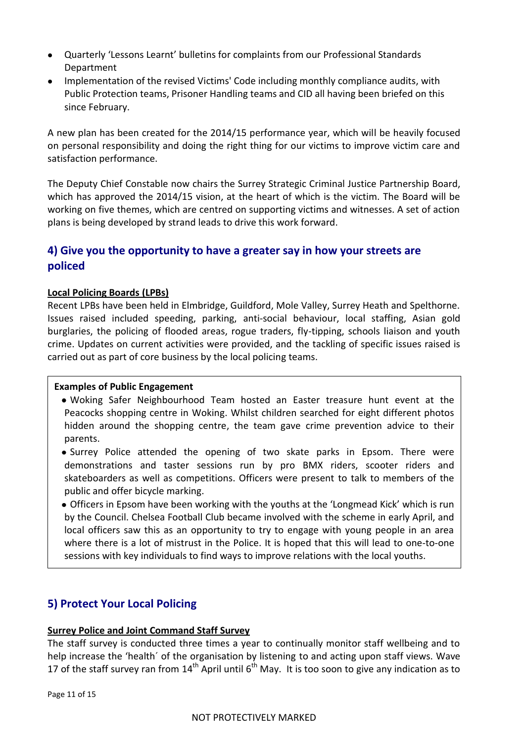- Quarterly 'Lessons Learnt' bulletins for complaints from our Professional Standards Department
- Implementation of the revised Victims' Code including monthly compliance audits, with Public Protection teams, Prisoner Handling teams and CID all having been briefed on this since February.

A new plan has been created for the 2014/15 performance year, which will be heavily focused on personal responsibility and doing the right thing for our victims to improve victim care and satisfaction performance.

The Deputy Chief Constable now chairs the Surrey Strategic Criminal Justice Partnership Board, which has approved the 2014/15 vision, at the heart of which is the victim. The Board will be working on five themes, which are centred on supporting victims and witnesses. A set of action plans is being developed by strand leads to drive this work forward.

# **4) Give you the opportunity to have a greater say in how your streets are policed**

## **Local Policing Boards (LPBs)**

Recent LPBs have been held in Elmbridge, Guildford, Mole Valley, Surrey Heath and Spelthorne. Issues raised included speeding, parking, anti-social behaviour, local staffing, Asian gold burglaries, the policing of flooded areas, rogue traders, fly-tipping, schools liaison and youth crime. Updates on current activities were provided, and the tackling of specific issues raised is carried out as part of core business by the local policing teams.

## **Examples of Public Engagement**

- Woking Safer Neighbourhood Team hosted an Easter treasure hunt event at the Peacocks shopping centre in Woking. Whilst children searched for eight different photos hidden around the shopping centre, the team gave crime prevention advice to their parents.
- Surrey Police attended the opening of two skate parks in Epsom. There were demonstrations and taster sessions run by pro BMX riders, scooter riders and skateboarders as well as competitions. Officers were present to talk to members of the public and offer bicycle marking.
- Officers in Epsom have been working with the youths at the 'Longmead Kick' which is run by the Council. Chelsea Football Club became involved with the scheme in early April, and local officers saw this as an opportunity to try to engage with young people in an area where there is a lot of mistrust in the Police. It is hoped that this will lead to one-to-one sessions with key individuals to find ways to improve relations with the local youths.

# **5) Protect Your Local Policing**

## **Surrey Police and Joint Command Staff Survey**

The staff survey is conducted three times a year to continually monitor staff wellbeing and to help increase the 'health´ of the organisation by listening to and acting upon staff views. Wave 17 of the staff survey ran from  $14^{th}$  April until 6<sup>th</sup> May. It is too soon to give any indication as to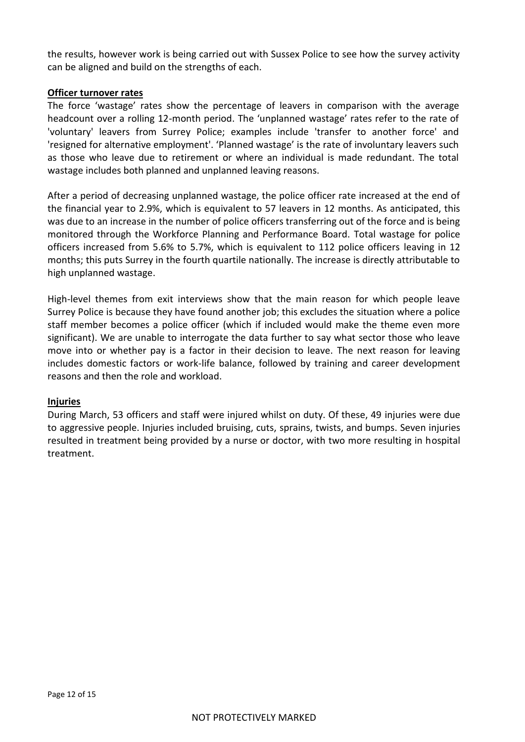the results, however work is being carried out with Sussex Police to see how the survey activity can be aligned and build on the strengths of each.

#### **Officer turnover rates**

The force 'wastage' rates show the percentage of leavers in comparison with the average headcount over a rolling 12-month period. The 'unplanned wastage' rates refer to the rate of 'voluntary' leavers from Surrey Police; examples include 'transfer to another force' and 'resigned for alternative employment'. 'Planned wastage' is the rate of involuntary leavers such as those who leave due to retirement or where an individual is made redundant. The total wastage includes both planned and unplanned leaving reasons.

After a period of decreasing unplanned wastage, the police officer rate increased at the end of the financial year to 2.9%, which is equivalent to 57 leavers in 12 months. As anticipated, this was due to an increase in the number of police officers transferring out of the force and is being monitored through the Workforce Planning and Performance Board. Total wastage for police officers increased from 5.6% to 5.7%, which is equivalent to 112 police officers leaving in 12 months; this puts Surrey in the fourth quartile nationally. The increase is directly attributable to high unplanned wastage.

High-level themes from exit interviews show that the main reason for which people leave Surrey Police is because they have found another job; this excludes the situation where a police staff member becomes a police officer (which if included would make the theme even more significant). We are unable to interrogate the data further to say what sector those who leave move into or whether pay is a factor in their decision to leave. The next reason for leaving includes domestic factors or work-life balance, followed by training and career development reasons and then the role and workload.

#### **Injuries**

During March, 53 officers and staff were injured whilst on duty. Of these, 49 injuries were due to aggressive people. Injuries included bruising, cuts, sprains, twists, and bumps. Seven injuries resulted in treatment being provided by a nurse or doctor, with two more resulting in hospital treatment.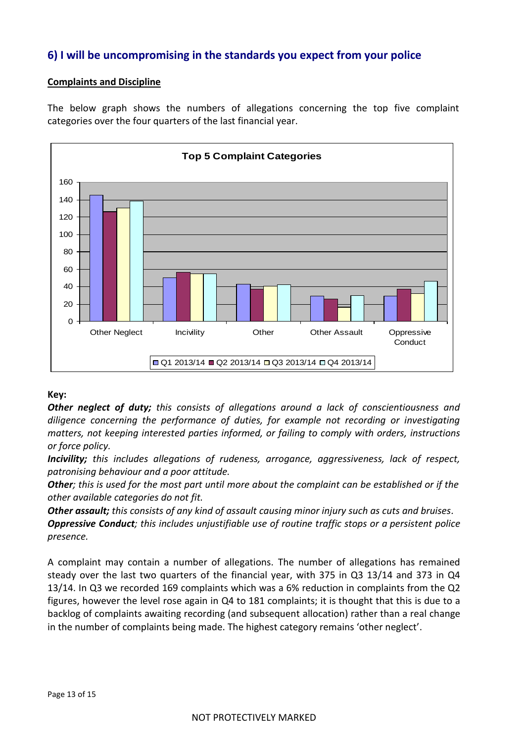# **6) I will be uncompromising in the standards you expect from your police**

## **Complaints and Discipline**

The below graph shows the numbers of allegations concerning the top five complaint categories over the four quarters of the last financial year.



## **Key:**

*Other neglect of duty; this consists of allegations around a lack of conscientiousness and diligence concerning the performance of duties, for example not recording or investigating matters, not keeping interested parties informed, or failing to comply with orders, instructions or force policy.*

*Incivility; this includes allegations of rudeness, arrogance, aggressiveness, lack of respect, patronising behaviour and a poor attitude.*

*Other; this is used for the most part until more about the complaint can be established or if the other available categories do not fit.*

*Other assault; this consists of any kind of assault causing minor injury such as cuts and bruises.*

*Oppressive Conduct; this includes unjustifiable use of routine traffic stops or a persistent police presence.*

A complaint may contain a number of allegations. The number of allegations has remained steady over the last two quarters of the financial year, with 375 in Q3 13/14 and 373 in Q4 13/14. In Q3 we recorded 169 complaints which was a 6% reduction in complaints from the Q2 figures, however the level rose again in Q4 to 181 complaints; it is thought that this is due to a backlog of complaints awaiting recording (and subsequent allocation) rather than a real change in the number of complaints being made. The highest category remains 'other neglect'.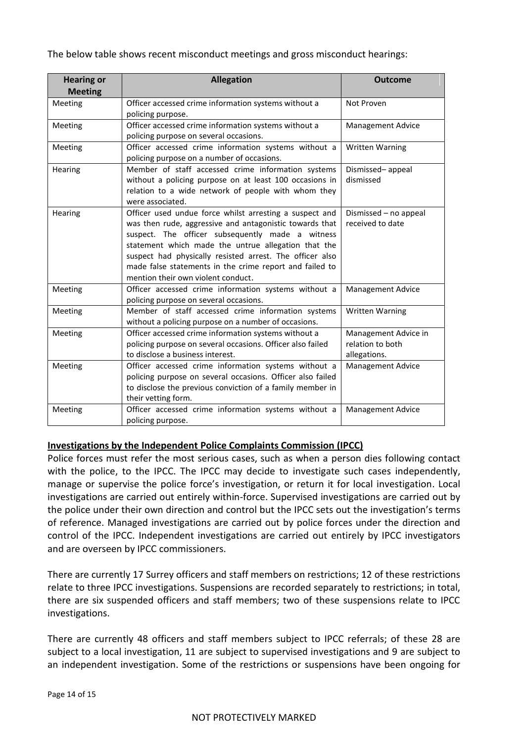The below table shows recent misconduct meetings and gross misconduct hearings:

| <b>Hearing or</b><br><b>Meeting</b> | <b>Allegation</b>                                                                                                                                                                                                                                                                                                                                                                          | <b>Outcome</b>                                           |
|-------------------------------------|--------------------------------------------------------------------------------------------------------------------------------------------------------------------------------------------------------------------------------------------------------------------------------------------------------------------------------------------------------------------------------------------|----------------------------------------------------------|
| Meeting                             | Officer accessed crime information systems without a<br>policing purpose.                                                                                                                                                                                                                                                                                                                  | Not Proven                                               |
| Meeting                             | Officer accessed crime information systems without a<br>policing purpose on several occasions.                                                                                                                                                                                                                                                                                             | <b>Management Advice</b>                                 |
| Meeting                             | Officer accessed crime information systems without a<br>policing purpose on a number of occasions.                                                                                                                                                                                                                                                                                         | <b>Written Warning</b>                                   |
| Hearing                             | Member of staff accessed crime information systems<br>without a policing purpose on at least 100 occasions in<br>relation to a wide network of people with whom they<br>were associated.                                                                                                                                                                                                   | Dismissed-appeal<br>dismissed                            |
| Hearing                             | Officer used undue force whilst arresting a suspect and<br>was then rude, aggressive and antagonistic towards that<br>suspect. The officer subsequently made a witness<br>statement which made the untrue allegation that the<br>suspect had physically resisted arrest. The officer also<br>made false statements in the crime report and failed to<br>mention their own violent conduct. | Dismissed - no appeal<br>received to date                |
| Meeting                             | Officer accessed crime information systems without a<br>policing purpose on several occasions.                                                                                                                                                                                                                                                                                             | <b>Management Advice</b>                                 |
| Meeting                             | Member of staff accessed crime information systems<br>without a policing purpose on a number of occasions.                                                                                                                                                                                                                                                                                 | Written Warning                                          |
| Meeting                             | Officer accessed crime information systems without a<br>policing purpose on several occasions. Officer also failed<br>to disclose a business interest.                                                                                                                                                                                                                                     | Management Advice in<br>relation to both<br>allegations. |
| Meeting                             | Officer accessed crime information systems without a<br>policing purpose on several occasions. Officer also failed<br>to disclose the previous conviction of a family member in<br>their vetting form.                                                                                                                                                                                     | <b>Management Advice</b>                                 |
| Meeting                             | Officer accessed crime information systems without a<br>policing purpose.                                                                                                                                                                                                                                                                                                                  | <b>Management Advice</b>                                 |

## **Investigations by the Independent Police Complaints Commission (IPCC)**

[Police](https://www.ipcc.gov.uk/complaints/referral) forces must refer the most serious cases, such as when a person dies following contact with the police, to the IPCC. The IPCC may decide to [investigate such cases independently,](https://www.ipcc.gov.uk/sites/default/files/Documents/investigation_commissioner_reports/guide_to_IPCC_investigations_Nov2013.PDF) manage or supervise the police force's investigation, or return it for local investigation. Local investigations are carried out entirely within-force. Supervised investigations are carried out by the police under their own direction and control but the IPCC sets out the investigation's terms of reference. Managed investigations are carried out by police forces under the direction and control of the IPCC. Independent investigations are carried out entirely by IPCC investigators and are overseen by IPCC commissioners.

There are currently 17 Surrey officers and staff members on restrictions; 12 of these restrictions relate to three IPCC investigations. Suspensions are recorded separately to restrictions; in total, there are six suspended officers and staff members; two of these suspensions relate to IPCC investigations.

There are currently 48 officers and staff members subject to IPCC referrals; of these 28 are subject to a local investigation, 11 are subject to supervised investigations and 9 are subject to an independent investigation. Some of the restrictions or suspensions have been ongoing for